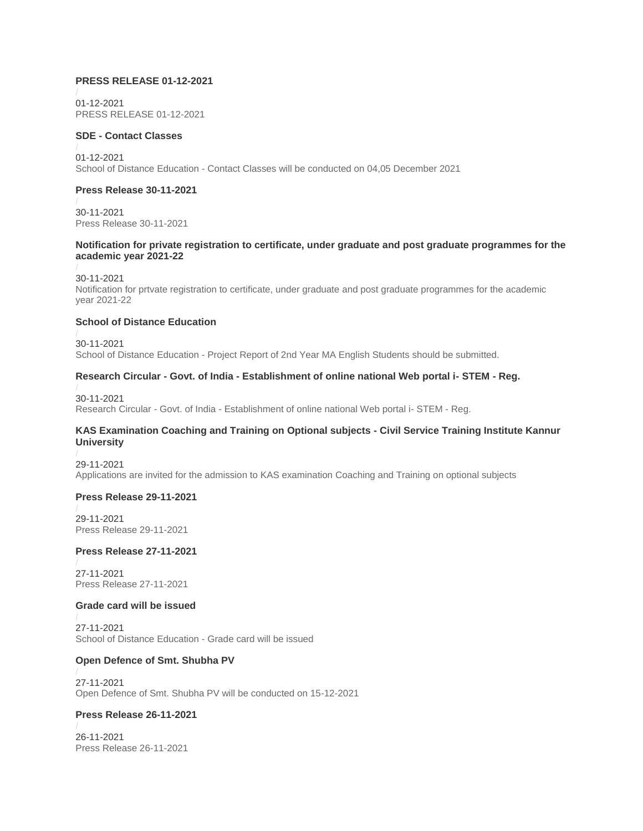#### **PRESS RELEASE 01-12-2021**

01-12-2021 [PRESS RELEASE 01-12-2021](https://kannuruniversity.ac.in/media/documents/PRESS_RELEASE_01-12-2021.pdf)

#### **SDE - Contact Classes**

01-12-2021 School of Distance Education - [Contact Classes will be conducted on 04,05 December 2021](https://kannuruniversity.ac.in/media/documents/sde-press.pdf)

## **Press Release 30-11-2021**

30-11-2021 [Press Release 30-11-2021](https://kannuruniversity.ac.in/media/documents/press_release_30-11-2021.pdf)

#### **Notification for private registration to certificate, under graduate and post graduate programmes for the academic year 2021-22**

30-11-2021

[Notification for prtvate registration to certificate, under graduate and post graduate programmes for the academic](https://kannuruniversity.ac.in/media/documents/Private_regn.pdf)  [year 2021-22](https://kannuruniversity.ac.in/media/documents/Private_regn.pdf)

## **School of Distance Education**

30-11-2021 School of Distance Education - [Project Report of 2nd Year MA English Students should be submitted.](https://kannuruniversity.ac.in/media/documents/Project_report.pdf)

#### **Research Circular - Govt. of India - Establishment of online national Web portal i- STEM - Reg.**

30-11-2021 Research Circular - Govt. of India - [Establishment of online national Web portal i-](https://kannuruniversity.ac.in/media/documents/i_stem_i_stem_2-3_merged.pdf) STEM - Reg.

## **KAS Examination Coaching and Training on Optional subjects - Civil Service Training Institute Kannur University**

29-11-2021 [Applications are invited for the admission to KAS examination Coaching and Training on optional subjects](https://kannuruniversity.ac.in/media/documents/csti.pdf)

#### **Press Release 29-11-2021**

29-11-2021 [Press Release 29-11-2021](https://kannuruniversity.ac.in/media/documents/press_release_29-11-2021.pdf)

#### **Press Release 27-11-2021**

27-11-2021 [Press Release 27-11-2021](https://kannuruniversity.ac.in/media/documents/press_27-11-2021.pdf)

#### **Grade card will be issued**

27-11-2021 [School of Distance Education -](https://kannuruniversity.ac.in/media/documents/sde_grade_card_27-11-2021.pdf) Grade card will be issued

#### **Open Defence of Smt. Shubha PV**

27-11-2021 [Open Defence of Smt. Shubha PV will be conducted on 15-12-2021](https://kannuruniversity.ac.in/media/documents/Subha-press.pdf)

## **Press Release 26-11-2021**

26-11-2021 [Press Release 26-11-2021](https://kannuruniversity.ac.in/media/documents/press_release_26-11-2021.pdf)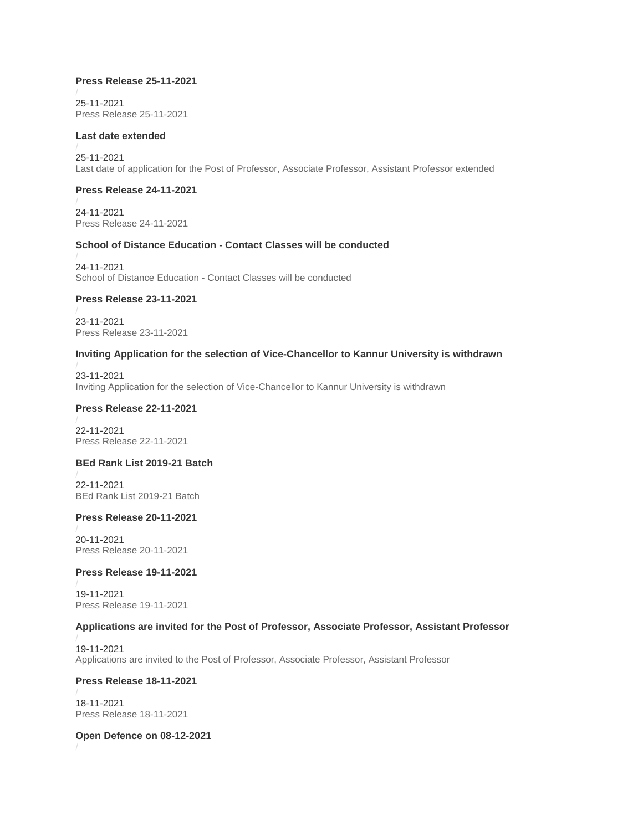## **Press Release 25-11-2021**

25-11-2021 [Press Release 25-11-2021](https://kannuruniversity.ac.in/media/documents/press_release_25-11-2021.pdf)

#### **Last date extended**

25-11-2021 [Last date of application for the Post of Professor, Associate Professor, Assistant Professor extended](https://kannuruniversity.ac.in/media/documents/Not_extended.pdf)

## **Press Release 24-11-2021**

24-11-2021 [Press Release 24-11-2021](https://kannuruniversity.ac.in/media/documents/press_24-11-2021.pdf)

## **School of Distance Education - Contact Classes will be conducted**

24-11-2021 School of Distance Education - [Contact Classes will be conducted](https://kannuruniversity.ac.in/media/documents/contact2.pdf)

## **Press Release 23-11-2021**

23-11-2021 [Press Release 23-11-2021](https://kannuruniversity.ac.in/media/documents/press_release_23-11-2021.pdf)

#### **Inviting Application for the selection of Vice-Chancellor to Kannur University is withdrawn**

23-11-2021 [Inviting Application for the selection of Vice-Chancellor to Kannur University is withdrawn](https://kannuruniversity.ac.in/media/documents/vc_cancel_23-11-2021.pdf)

#### **Press Release 22-11-2021**

22-11-2021 [Press Release 22-11-2021](https://kannuruniversity.ac.in/media/documents/press_release_22-11-2021.pdf)

## **BEd Rank List 2019-21 Batch**

22-11-2021 [BEd Rank List 2019-21 Batch](https://kannuruniversity.ac.in/media/documents/ep-iii.pdf)

#### **Press Release 20-11-2021**

20-11-2021 [Press Release 20-11-2021](https://kannuruniversity.ac.in/media/documents/press_20-11-2021.pdf)

## **Press Release 19-11-2021**

19-11-2021 [Press Release 19-11-2021](https://kannuruniversity.ac.in/media/documents/press_19-11-2021.pdf)

#### **Applications are invited for the Post of Professor, Associate Professor, Assistant Professor**

19-11-2021 [Applications are invited to the Post of Professor, Associate Professor, Assistant Professor](https://kannuruniversity.ac.in/media/documents/pree_release_-.pdf)

#### **Press Release 18-11-2021**

18-11-2021 [Press Release 18-11-2021](https://kannuruniversity.ac.in/media/documents/press_18-11-2021.pdf)

#### **Open Defence on 08-12-2021**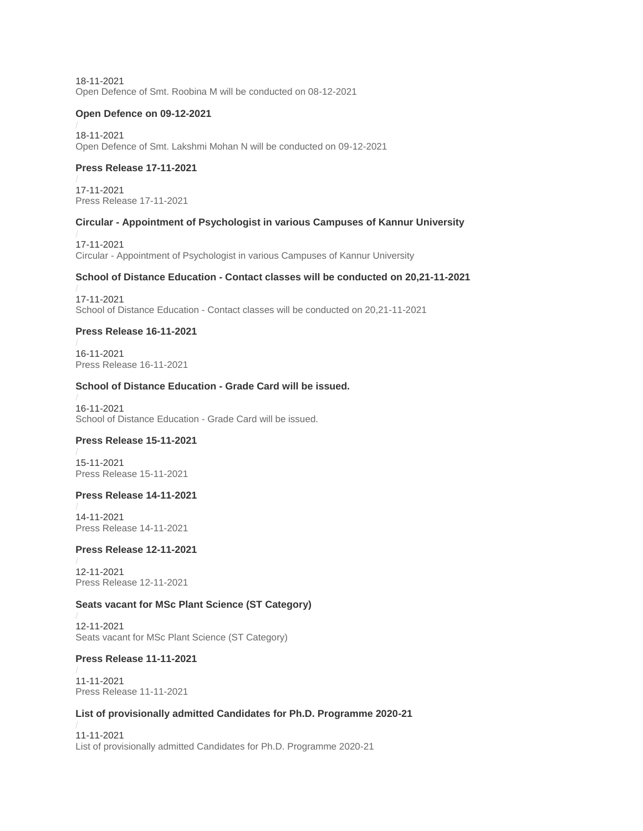18-11-2021 [Open Defence of Smt. Roobina M will be conducted on 08-12-2021](https://kannuruniversity.ac.in/media/documents/Roob-press.pdf)

#### **Open Defence on 09-12-2021**

18-11-2021 [Open Defence of Smt. Lakshmi Mohan N will be conducted on 09-12-2021](https://kannuruniversity.ac.in/media/documents/open_defence_lakshmimenonN.pdf)

## **Press Release 17-11-2021**

17-11-2021 [Press Release 17-11-2021](https://kannuruniversity.ac.in/media/documents/press_17-11-2021.pdf)

## **Circular - Appointment of Psychologist in various Campuses of Kannur University**

17-11-2021 Circular - [Appointment of Psychologist in various Campuses of Kannur University](https://kannuruniversity.ac.in/media/documents/circular_psychologist.pdf)

## **School of Distance Education - Contact classes will be conducted on 20,21-11-2021**

17-11-2021 School of Distance Education - [Contact classes will be conducted on 20,21-11-2021](https://kannuruniversity.ac.in/media/documents/Contact_class1.pdf)

## **Press Release 16-11-2021**

16-11-2021 [Press Release 16-11-2021](https://kannuruniversity.ac.in/media/documents/press_release_16-11-2021.pdf)

## **School of Distance Education - Grade Card will be issued.**

16-11-2021 [School of Distance Education -](https://kannuruniversity.ac.in/media/documents/sde_grade_card_16-11-2021.pdf) Grade Card will be issued.

## **Press Release 15-11-2021**

15-11-2021 [Press Release 15-11-2021](https://kannuruniversity.ac.in/media/documents/press_15-11-21.pdf)

#### **Press Release 14-11-2021**

14-11-2021 [Press Release 14-11-2021](https://kannuruniversity.ac.in/media/documents/press_14-11.pdf)

## **Press Release 12-11-2021**

12-11-2021 [Press Release 12-11-2021](https://kannuruniversity.ac.in/media/documents/press_12-11-2021.pdf)

## **Seats vacant for MSc Plant Science (ST Category)**

12-11-2021 [Seats vacant for MSc Plant Science \(ST Category\)](https://kannuruniversity.ac.in/media/documents/press_plantscience_vacancy_st_12-11-2021.pdf)

#### **Press Release 11-11-2021**

11-11-2021 [Press Release 11-11-2021](https://kannuruniversity.ac.in/media/documents/press_release_11-11-2021.pdf)

## **List of provisionally admitted Candidates for Ph.D. Programme 2020-21**

11-11-2021 [List of provisionally admitted Candidates for Ph.D. Programme 2020-21](https://kannuruniversity.ac.in/media/documents/RD-C1-1911-2020.pdf)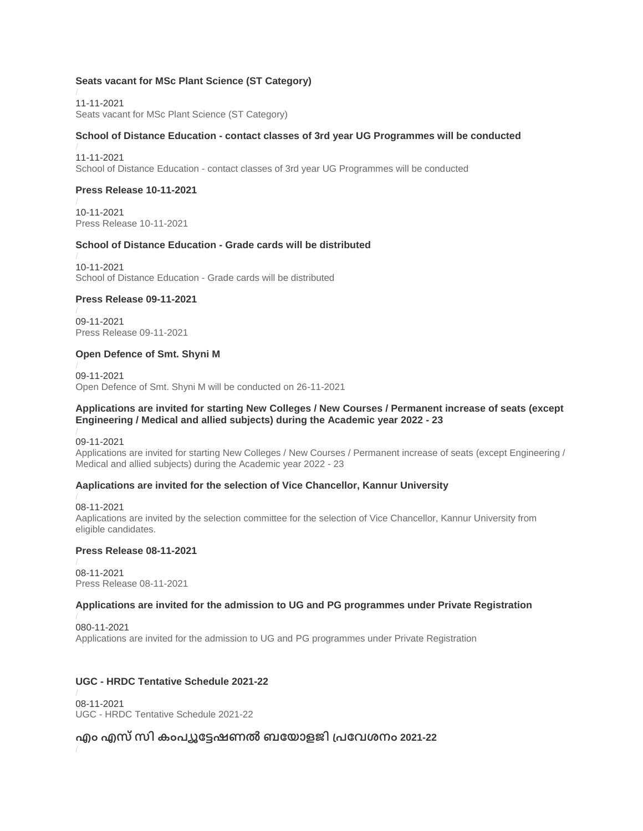## **Seats vacant for MSc Plant Science (ST Category)**

11-11-2021 [Seats vacant for MSc Plant Science \(ST Category\)](https://kannuruniversity.ac.in/media/documents/press_sc_st_plant_science.pdf)

## **School of Distance Education - contact classes of 3rd year UG Programmes will be conducted**

11-11-2021 School of Distance Education - [contact classes of 3rd year UG Programmes will be conducted](https://kannuruniversity.ac.in/media/documents/sde_contact_cls.pdf)

## **Press Release 10-11-2021**

10-11-2021 [Press Release 10-11-2021](https://kannuruniversity.ac.in/media/documents/press_sde_10-11-2021_IkTrhBf.pdf)

## **School of Distance Education - Grade cards will be distributed**

10-11-2021 [School of Distance Education -](https://kannuruniversity.ac.in/media/documents/press_sde_10-11-2021.pdf) Grade cards will be distributed

## **Press Release 09-11-2021**

09-11-2021 [Press Release 09-11-2021](https://kannuruniversity.ac.in/media/documents/Press_Release_09-11-2021.pdf)

## **Open Defence of Smt. Shyni M**

09-11-2021 [Open Defence of Smt. Shyni M will be conducted on 26-11-2021](https://kannuruniversity.ac.in/media/documents/PREESHY.pdf)

#### **Applications are invited for starting New Colleges / New Courses / Permanent increase of seats (except Engineering / Medical and allied subjects) during the Academic year 2022 - 23**

09-11-2021

[Applications are invited for starting New Colleges / New Courses / Permanent increase of seats \(except Engineering /](https://kannuruniversity.ac.in/media/documents/newcollege_course.pdf)  [Medical and allied subjects\) during the Academic year 2022 -](https://kannuruniversity.ac.in/media/documents/newcollege_course.pdf) 23

## **Aaplications are invited for the selection of Vice Chancellor, Kannur University**

08-11-2021 [Aaplications are invited by the selection committee for the selection of Vice Chancellor, Kannur University from](https://kannuruniversity.ac.in/media/documents/Notification_VC_dt_01.11.2021.pdf)  [eligible candidates.](https://kannuruniversity.ac.in/media/documents/Notification_VC_dt_01.11.2021.pdf)

## **Press Release 08-11-2021**

08-11-2021 [Press Release 08-11-2021](https://kannuruniversity.ac.in/media/documents/Press_Release_08-11-2021.pdf)

#### **Applications are invited for the admission to UG and PG programmes under Private Registration**

080-11-2021 [Applications are invited for the admission to UG and PG programmes under Private Registration](https://kannuruniversity.ac.in/media/documents/sde_notification_05-11-2021.pdf)

## **UGC - HRDC Tentative Schedule 2021-22**

08-11-2021 UGC - [HRDC Tentative Schedule 2021-22](https://kannuruniversity.ac.in/media/documents/New_Schedule.pdf)

# **എം എസ്സി കംപ്യൂട്ടേഷണൽ ബട്ട ോളജി പ്പ്ട്ടേശനം 2021-22**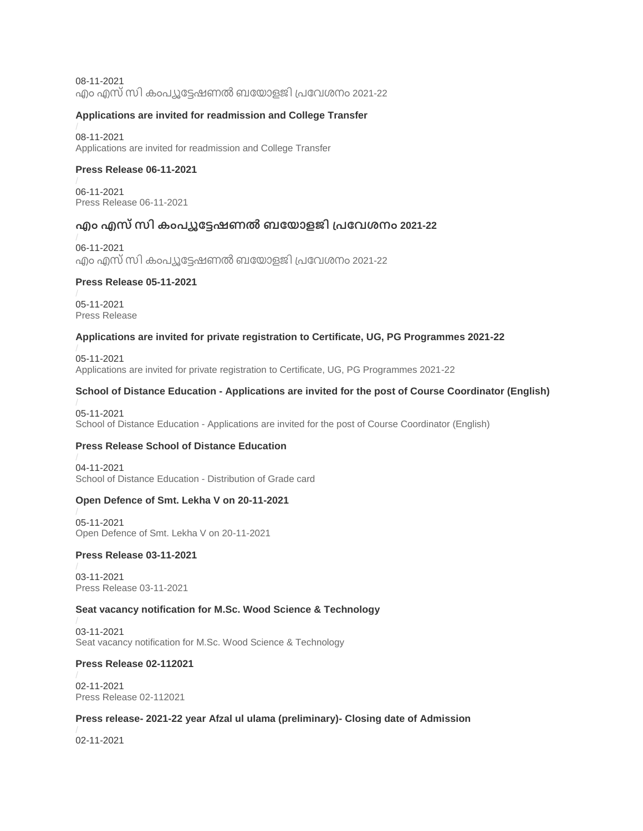08-11-2021 എം എസ് സി [കംപ്യൂട്ടേഷണൽ](https://kannuruniversity.ac.in/media/documents/MSc_CB_Spot_Admission_Notification.pdf) ബയോളജി പ്രവേശനം 2021-22

## **Applications are invited for readmission and College Transfer**

08-11-2021 [Applications are invited for readmission and College Transfer](https://kannuruniversity.ac.in/media/documents/Press_Release_2.pdf)

## **Press Release 06-11-2021**

06-11-2021 [Press Release 06-11-2021](https://kannuruniversity.ac.in/media/documents/press_release_06-11-2021.pdf)

# **എം എസ്സി കംപ്യൂട്ടേഷണൽ ബട്ട ോളജി പ്പ്ട്ടേശനം 2021-22**

06-11-2021 എം എസ് സി [കംപ്യൂട്ടേഷണൽ](https://kannuruniversity.ac.in/media/documents/MCB2021-22_SC-ST_notification_LWN3kIZ.pdf) ബയോളജി പ്രവേശനം 2021-22

## **Press Release 05-11-2021**

05-11-2021 [Press Release](https://kannuruniversity.ac.in/media/documents/press_release_05-11-2021.pdf)

## **Applications are invited for private registration to Certificate, UG, PG Programmes 2021-22**

05-11-2021 [Applications are invited for private registration to Certificate, UG, PG Programmes 2021-22](https://kannuruniversity.ac.in/media/documents/sde_notification_05-11-2021.pdf)

## **School of Distance Education - Applications are invited for the post of Course Coordinator (English)**

05-11-2021 School of Distance Education - [Applications are invited for the post of Course Coordinator \(English\)](https://kannuruniversity.ac.in/media/documents/sde_press_coordinator.pdf)

## **Press Release School of Distance Education**

04-11-2021 [School of Distance Education -](https://kannuruniversity.ac.in/media/documents/press_sde_03-11-2021.pdf) Distribution of Grade card

## **Open Defence of Smt. Lekha V on 20-11-2021**

05-11-2021 [Open Defence of Smt. Lekha V on 20-11-2021](https://kannuruniversity.ac.in/media/documents/open_defence_lekha_v_.pdf)

## **Press Release 03-11-2021**

03-11-2021 [Press Release 03-11-2021](https://kannuruniversity.ac.in/media/documents/press_03-11-21.pdf)

## **Seat vacancy notification for M.Sc. Wood Science & Technology**

03-11-2021 [Seat vacancy notification for M.Sc. Wood Science & Technology](https://kannuruniversity.ac.in/media/documents/woodscience_03-11-2021.pdf)

## **Press Release 02-112021**

02-11-2021 [Press Release 02-112021](https://kannuruniversity.ac.in/media/documents/press_02-11-2021.pdf)

## **Press release- 2021-22 year Afzal ul ulama (preliminary)- Closing date of Admission**

02-11-2021